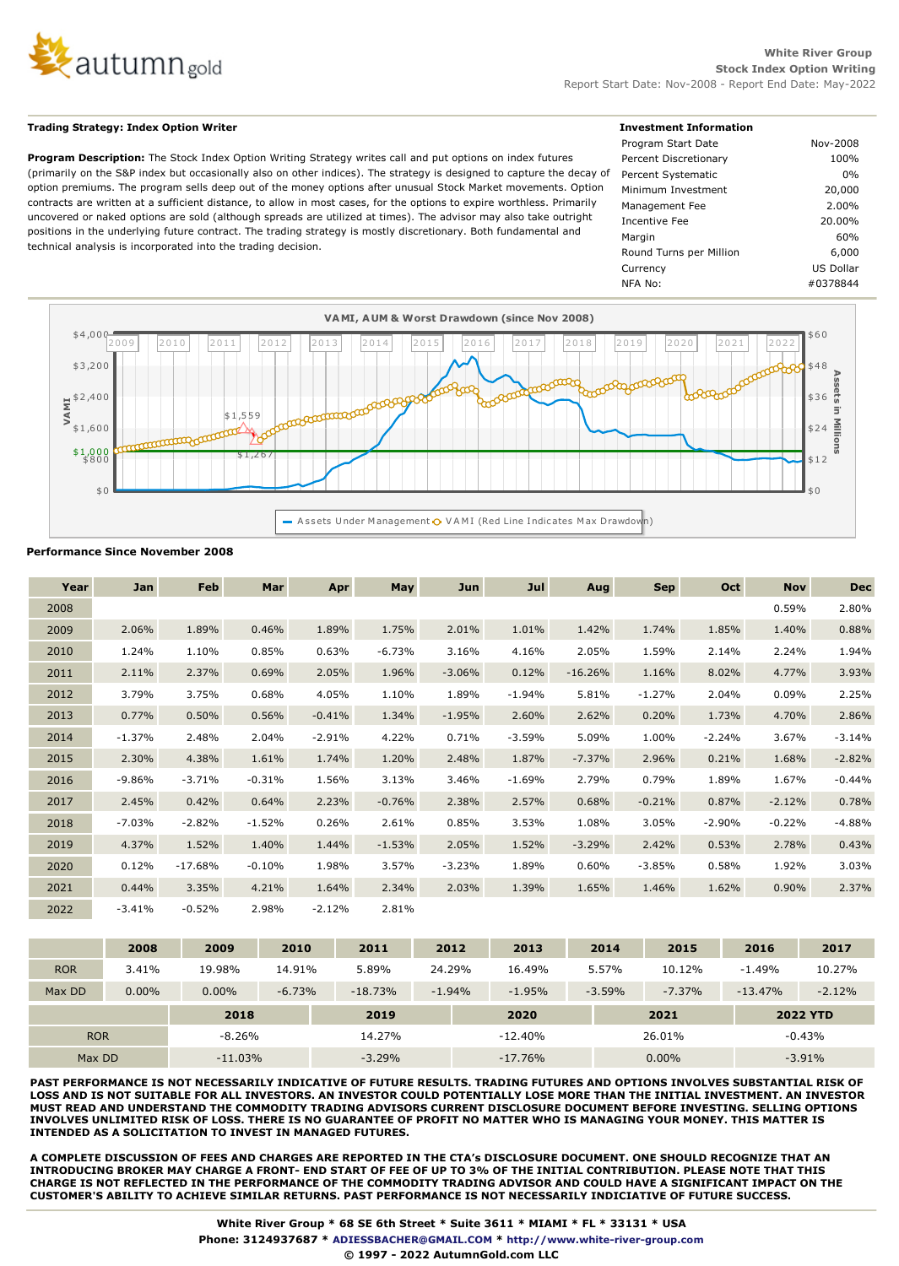

## **Trading Strategy: Index Option Writer**

**Program Description:** The Stock Index Option Writing Strategy writes call and put options on index futures (primarily on the S&P index but occasionally also on other indices). The strategy is designed to capture the decay of option premiums. The program sells deep out of the money options after unusual Stock Market movements. Option contracts are written at a sufficient distance, to allow in most cases, for the options to expire worthless. Primarily uncovered or naked options are sold (although spreads are utilized at times). The advisor may also take outright positions in the underlying future contract. The trading strategy is mostly discretionary. Both fundamental and technical analysis is incorporated into the trading decision.

| <b>Investment Information</b> |           |  |
|-------------------------------|-----------|--|
| Program Start Date            | Nov-2008  |  |
| Percent Discretionary         | 100%      |  |
| Percent Systematic            | $0\%$     |  |
| Minimum Investment            | 20,000    |  |
| Management Fee                | $2.00\%$  |  |
| Incentive Fee                 | 20.00%    |  |
| Margin                        | 60%       |  |
| Round Turns per Million       | 6,000     |  |
| Currency                      | US Dollar |  |
| NFA No:                       | #0378844  |  |
|                               |           |  |



## **Performance Since November 2008**

| Year | Jan      | Feb       | Mar      | Apr      | May      | Jun      | Jul      | Aug       | <b>Sep</b> | Oct      | <b>Nov</b> | <b>Dec</b> |
|------|----------|-----------|----------|----------|----------|----------|----------|-----------|------------|----------|------------|------------|
| 2008 |          |           |          |          |          |          |          |           |            |          | 0.59%      | 2.80%      |
| 2009 | 2.06%    | 1.89%     | 0.46%    | 1.89%    | 1.75%    | 2.01%    | 1.01%    | 1.42%     | 1.74%      | 1.85%    | 1.40%      | 0.88%      |
| 2010 | 1.24%    | 1.10%     | 0.85%    | 0.63%    | $-6.73%$ | 3.16%    | 4.16%    | 2.05%     | 1.59%      | 2.14%    | 2.24%      | 1.94%      |
| 2011 | 2.11%    | 2.37%     | 0.69%    | 2.05%    | 1.96%    | $-3.06%$ | 0.12%    | $-16.26%$ | 1.16%      | 8.02%    | 4.77%      | 3.93%      |
| 2012 | 3.79%    | 3.75%     | 0.68%    | 4.05%    | 1.10%    | 1.89%    | $-1.94%$ | 5.81%     | $-1.27%$   | 2.04%    | 0.09%      | 2.25%      |
| 2013 | 0.77%    | 0.50%     | 0.56%    | $-0.41%$ | 1.34%    | $-1.95%$ | 2.60%    | 2.62%     | 0.20%      | 1.73%    | 4.70%      | 2.86%      |
| 2014 | $-1.37%$ | 2.48%     | 2.04%    | $-2.91%$ | 4.22%    | 0.71%    | $-3.59%$ | 5.09%     | 1.00%      | $-2.24%$ | 3.67%      | $-3.14%$   |
| 2015 | 2.30%    | 4.38%     | 1.61%    | 1.74%    | 1.20%    | 2.48%    | 1.87%    | $-7.37%$  | 2.96%      | 0.21%    | 1.68%      | $-2.82%$   |
| 2016 | $-9.86%$ | $-3.71%$  | $-0.31%$ | 1.56%    | 3.13%    | 3.46%    | $-1.69%$ | 2.79%     | 0.79%      | 1.89%    | 1.67%      | $-0.44%$   |
| 2017 | 2.45%    | 0.42%     | 0.64%    | 2.23%    | $-0.76%$ | 2.38%    | 2.57%    | 0.68%     | $-0.21%$   | 0.87%    | $-2.12%$   | 0.78%      |
| 2018 | $-7.03%$ | $-2.82%$  | $-1.52%$ | 0.26%    | 2.61%    | 0.85%    | 3.53%    | 1.08%     | 3.05%      | $-2.90%$ | $-0.22%$   | $-4.88%$   |
| 2019 | 4.37%    | 1.52%     | 1.40%    | 1.44%    | $-1.53%$ | 2.05%    | 1.52%    | $-3.29%$  | 2.42%      | 0.53%    | 2.78%      | 0.43%      |
| 2020 | 0.12%    | $-17.68%$ | $-0.10%$ | 1.98%    | 3.57%    | $-3.23%$ | 1.89%    | 0.60%     | $-3.85%$   | 0.58%    | 1.92%      | 3.03%      |
| 2021 | 0.44%    | 3.35%     | 4.21%    | 1.64%    | 2.34%    | 2.03%    | 1.39%    | 1.65%     | 1.46%      | 1.62%    | 0.90%      | 2.37%      |
| 2022 | $-3.41%$ | $-0.52%$  | 2.98%    | $-2.12%$ | 2.81%    |          |          |           |            |          |            |            |

|            | 2008     | 2009      | 2010     | 2011      | 2012      | 2013     | 2014     | 2015     | 2016      | 2017            |  |
|------------|----------|-----------|----------|-----------|-----------|----------|----------|----------|-----------|-----------------|--|
| <b>ROR</b> | 3.41%    | 19.98%    | 14.91%   | 5.89%     | 24.29%    |          | 5.57%    | 10.12%   | $-1.49%$  | 10.27%          |  |
| Max DD     | $0.00\%$ | $0.00\%$  | $-6.73%$ | $-18.73%$ | $-1.94%$  | $-1.95%$ | $-3.59%$ | $-7.37%$ | $-13.47%$ | $-2.12%$        |  |
|            |          | 2018      |          | 2019      |           | 2020     |          | 2021     |           | <b>2022 YTD</b> |  |
| <b>ROR</b> |          | $-8.26%$  |          | 14.27%    |           |          |          | 26.01%   |           | $-0.43%$        |  |
| Max DD     |          | $-11.03%$ |          | $-3.29%$  | $-17.76%$ |          |          | $0.00\%$ |           | $-3.91\%$       |  |

**PAST PERFORMANCE IS NOT NECESSARILY INDICATIVE OF FUTURE RESULTS. TRADING FUTURES AND OPTIONS INVOLVES SUBSTANTIAL RISK OF LOSS AND IS NOT SUITABLE FOR ALL INVESTORS. AN INVESTOR COULD POTENTIALLY LOSE MORE THAN THE INITIAL INVESTMENT. AN INVESTOR MUST READ AND UNDERSTAND THE COMMODITY TRADING ADVISORS CURRENT DISCLOSURE DOCUMENT BEFORE INVESTING. SELLING OPTIONS INVOLVES UNLIMITED RISK OF LOSS. THERE IS NO GUARANTEE OF PROFIT NO MATTER WHO IS MANAGING YOUR MONEY. THIS MATTER IS INTENDED AS A SOLICITATION TO INVEST IN MANAGED FUTURES.**

**A COMPLETE DISCUSSION OF FEES AND CHARGES ARE REPORTED IN THE CTA's DISCLOSURE DOCUMENT. ONE SHOULD RECOGNIZE THAT AN INTRODUCING BROKER MAY CHARGE A FRONT- END START OF FEE OF UP TO 3% OF THE INITIAL CONTRIBUTION. PLEASE NOTE THAT THIS CHARGE IS NOT REFLECTED IN THE PERFORMANCE OF THE COMMODITY TRADING ADVISOR AND COULD HAVE A SIGNIFICANT IMPACT ON THE CUSTOMER'S ABILITY TO ACHIEVE SIMILAR RETURNS. PAST PERFORMANCE IS NOT NECESSARILY INDICIATIVE OF FUTURE SUCCESS.**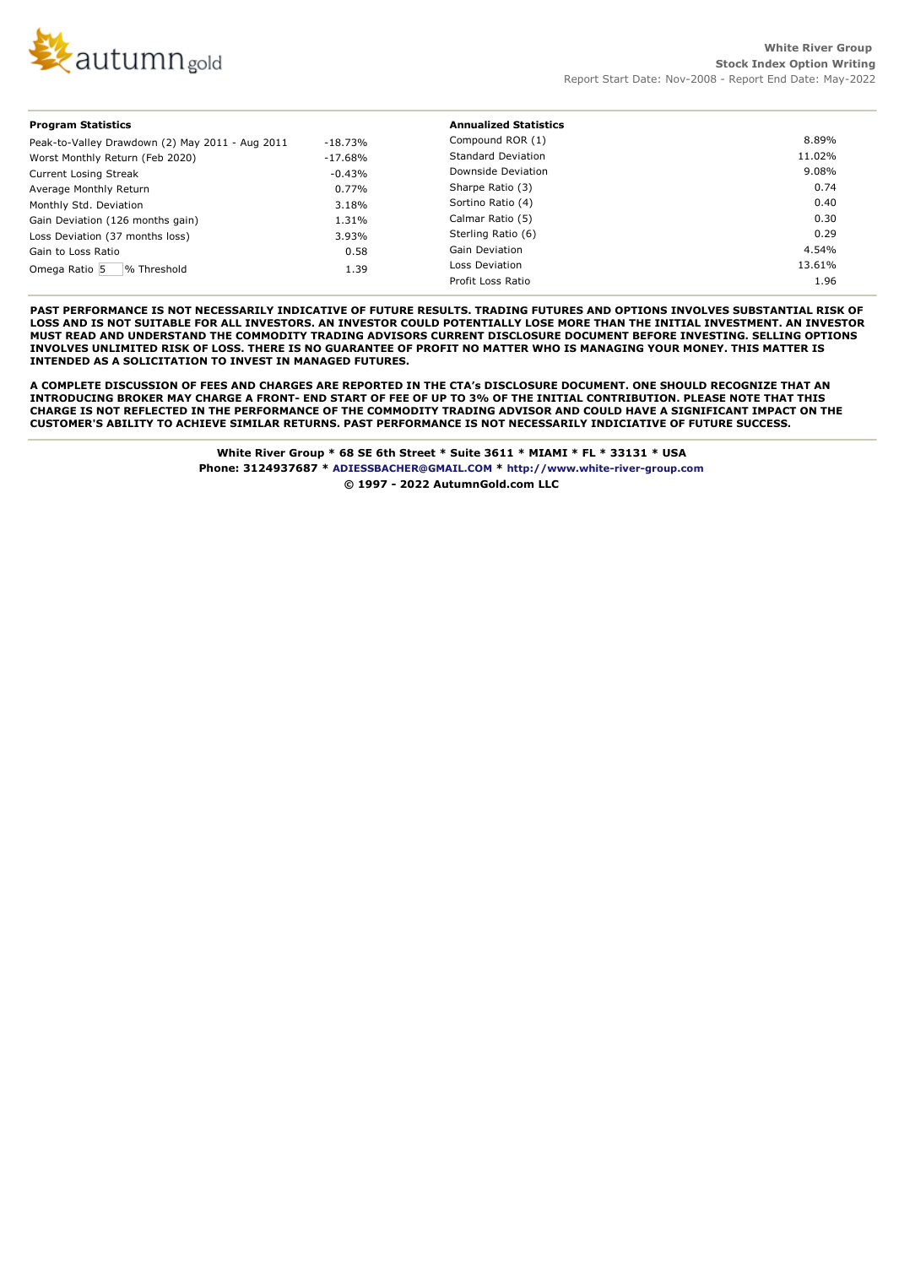

| <b>Program Statistics</b>                       |           | <b>Annualized Statistics</b> |        |  |  |  |
|-------------------------------------------------|-----------|------------------------------|--------|--|--|--|
| Peak-to-Valley Drawdown (2) May 2011 - Aug 2011 | $-18.73%$ | Compound ROR (1)             | 8.89%  |  |  |  |
| Worst Monthly Return (Feb 2020)                 | $-17.68%$ | <b>Standard Deviation</b>    | 11.02% |  |  |  |
| <b>Current Losing Streak</b>                    | $-0.43%$  | Downside Deviation           | 9.08%  |  |  |  |
| Average Monthly Return                          | 0.77%     | Sharpe Ratio (3)             | 0.74   |  |  |  |
| Monthly Std. Deviation                          | 3.18%     | Sortino Ratio (4)            | 0.40   |  |  |  |
| Gain Deviation (126 months gain)                | 1.31%     | Calmar Ratio (5)             | 0.30   |  |  |  |
| Loss Deviation (37 months loss)                 | 3.93%     | Sterling Ratio (6)           | 0.29   |  |  |  |
| Gain to Loss Ratio                              | 0.58      | <b>Gain Deviation</b>        | 4.54%  |  |  |  |
| Omega Ratio 5<br>% Threshold                    | 1.39      | Loss Deviation               | 13.61% |  |  |  |
|                                                 |           | Profit Loss Ratio            | 1.96   |  |  |  |

**PAST PERFORMANCE IS NOT NECESSARILY INDICATIVE OF FUTURE RESULTS. TRADING FUTURES AND OPTIONS INVOLVES SUBSTANTIAL RISK OF LOSS AND IS NOT SUITABLE FOR ALL INVESTORS. AN INVESTOR COULD POTENTIALLY LOSE MORE THAN THE INITIAL INVESTMENT. AN INVESTOR MUST READ AND UNDERSTAND THE COMMODITY TRADING ADVISORS CURRENT DISCLOSURE DOCUMENT BEFORE INVESTING. SELLING OPTIONS INVOLVES UNLIMITED RISK OF LOSS. THERE IS NO GUARANTEE OF PROFIT NO MATTER WHO IS MANAGING YOUR MONEY. THIS MATTER IS INTENDED AS A SOLICITATION TO INVEST IN MANAGED FUTURES.**

**A COMPLETE DISCUSSION OF FEES AND CHARGES ARE REPORTED IN THE CTA's DISCLOSURE DOCUMENT. ONE SHOULD RECOGNIZE THAT AN INTRODUCING BROKER MAY CHARGE A FRONT- END START OF FEE OF UP TO 3% OF THE INITIAL CONTRIBUTION. PLEASE NOTE THAT THIS CHARGE IS NOT REFLECTED IN THE PERFORMANCE OF THE COMMODITY TRADING ADVISOR AND COULD HAVE A SIGNIFICANT IMPACT ON THE CUSTOMER'S ABILITY TO ACHIEVE SIMILAR RETURNS. PAST PERFORMANCE IS NOT NECESSARILY INDICIATIVE OF FUTURE SUCCESS.**

> **White River Group \* 68 SE 6th Street \* Suite 3611 \* MIAMI \* FL \* 33131 \* USA Phone: 3124937687 \* ADIESSBACHER@GMAIL.COM \* http://www.white-river-group.com © 1997 - 2022 AutumnGold.com LLC**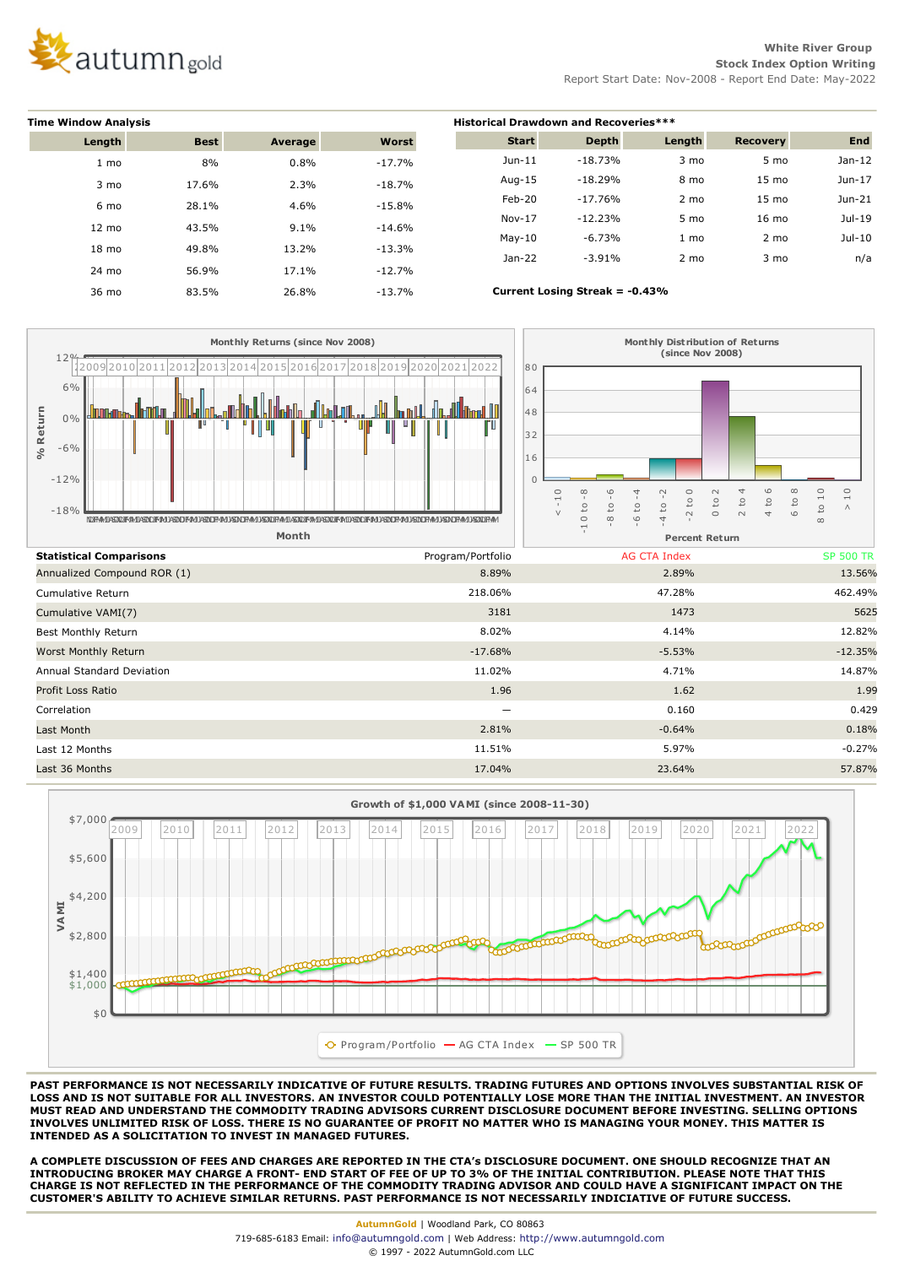

**White River Group Stock Index Option Writing** Report Start Date: Nov-2008 - Report End Date: May-2022

| <b>Time Window Analysis</b> |             |         |           | <b>Historical Drawdown and Recoveries***</b> |                                |                |                 |            |  |  |
|-----------------------------|-------------|---------|-----------|----------------------------------------------|--------------------------------|----------------|-----------------|------------|--|--|
| Length                      | <b>Best</b> | Average | Worst     | <b>Start</b>                                 | <b>Depth</b>                   | Length         | Recovery        | <b>End</b> |  |  |
| 1 mo                        | 8%          | 0.8%    | $-17.7%$  | $Jun-11$                                     | $-18.73%$                      | $3 \text{ mo}$ | 5 mo            | $Jan-12$   |  |  |
| $3 \text{ mo}$              | 17.6%       | 2.3%    | $-18.7%$  | Aug-15                                       | $-18.29%$                      | 8 mo           | $15 \text{ mo}$ | $Jun-17$   |  |  |
| 6 mo                        | 28.1%       | 4.6%    | $-15.8%$  | Feb-20                                       | $-17.76%$                      | $2 \text{ mo}$ | $15 \text{ mo}$ | Jun-21     |  |  |
| $12 \text{ mo}$             | 43.5%       | 9.1%    | $-14.6\%$ | $Nov-17$                                     | $-12.23%$                      | 5 mo           | $16 \text{ mo}$ | Jul-19     |  |  |
|                             |             |         |           | $May-10$                                     | $-6.73%$                       | $1 \text{ mo}$ | $2 \text{ mo}$  | $Jul-10$   |  |  |
| $18 \text{ mo}$             | 49.8%       | 13.2%   | $-13.3%$  | $Jan-22$                                     | $-3.91%$                       | $2 \text{ mo}$ | $3 \text{ mo}$  | n/a        |  |  |
| 24 mo                       | 56.9%       | 17.1%   | $-12.7%$  |                                              |                                |                |                 |            |  |  |
| 36 mo                       | 83.5%       | 26.8%   | $-13.7%$  |                                              | Current Losing Streak = -0.43% |                |                 |            |  |  |





**PAST PERFORMANCE IS NOT NECESSARILY INDICATIVE OF FUTURE RESULTS. TRADING FUTURES AND OPTIONS INVOLVES SUBSTANTIAL RISK OF LOSS AND IS NOT SUITABLE FOR ALL INVESTORS. AN INVESTOR COULD POTENTIALLY LOSE MORE THAN THE INITIAL INVESTMENT. AN INVESTOR MUST READ AND UNDERSTAND THE COMMODITY TRADING ADVISORS CURRENT DISCLOSURE DOCUMENT BEFORE INVESTING. SELLING OPTIONS INVOLVES UNLIMITED RISK OF LOSS. THERE IS NO GUARANTEE OF PROFIT NO MATTER WHO IS MANAGING YOUR MONEY. THIS MATTER IS INTENDED AS A SOLICITATION TO INVEST IN MANAGED FUTURES.**

**A COMPLETE DISCUSSION OF FEES AND CHARGES ARE REPORTED IN THE CTA's DISCLOSURE DOCUMENT. ONE SHOULD RECOGNIZE THAT AN INTRODUCING BROKER MAY CHARGE A FRONT- END START OF FEE OF UP TO 3% OF THE INITIAL CONTRIBUTION. PLEASE NOTE THAT THIS CHARGE IS NOT REFLECTED IN THE PERFORMANCE OF THE COMMODITY TRADING ADVISOR AND COULD HAVE A SIGNIFICANT IMPACT ON THE CUSTOMER'S ABILITY TO ACHIEVE SIMILAR RETURNS. PAST PERFORMANCE IS NOT NECESSARILY INDICIATIVE OF FUTURE SUCCESS.**